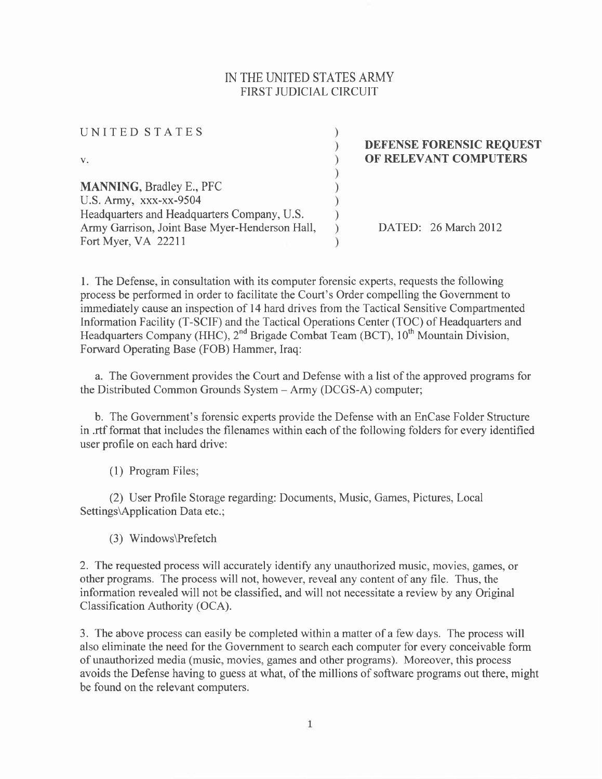## N THE UNITED STATES ARMY FIRST JUDICIAL CIRCUIT

| UNITED STATES                                  |                                 |
|------------------------------------------------|---------------------------------|
|                                                | <b>DEFENSE FORENSIC REQUEST</b> |
| $V_{\star}$                                    | OF RELEVANT COMPUTERS           |
|                                                |                                 |
| <b>MANNING, Bradley E., PFC</b>                |                                 |
| U.S. Army, xxx-xx-9504                         |                                 |
| Headquarters and Headquarters Company, U.S.    |                                 |
| Army Garrison, Joint Base Myer-Henderson Hall, | DATED: 26 March 2012            |
| Fort Myer, VA 22211                            |                                 |

l. The Defense, in consultation with its computer forensic experts, requests the following process be performed in order to facilitate the Court's Order compelling the Government to immediately cause an inspection of l4 hard drives from the Tactical Sensitive Compartmented Information Facility (T-SCIF) and the Tactical Operations Center (TOC) of Headquarters and Headquarters Company (HHC), 2<sup>nd</sup> Brigade Combat Team (BCT), 10<sup>th</sup> Mountain Division, Forward Operating Base (FOB) Hammer, Iraq:

a. The Government provides the Court and Defense with a list of the approved programs for the Distributed Common Grounds System - Army (DCGS-A) computer;

b. The Government's forensic experts provide the Defense with an EnCase Folder Structure in .rtf format that includes the filenames within each of the following folders for every identified user profile on each hard drive:

(1) Program Files;

(2) User Profile Storage regarding: Documents, Music, Games, Pictures, Local Settings\Application Data etc.;

(3) Windows\Prefetch

2. The requested process will accurately identify any unauthorized music, movies, games, or other programs. The process will not, however, reveal any content of any file. Thus, the information revealed will not be classified, and will not necessitate a review by any Original Classification Authority (OCA).

3. The above process can easily be completed within a matter of a few days. The process will also eliminate the need for the Government to search each computer for every conceivable form of unauthorized media (music, movies, games and other programs). Moreover, this process avoids the Defense having to guess at what, of the millions of software programs out there, might be found on the relevant computers.